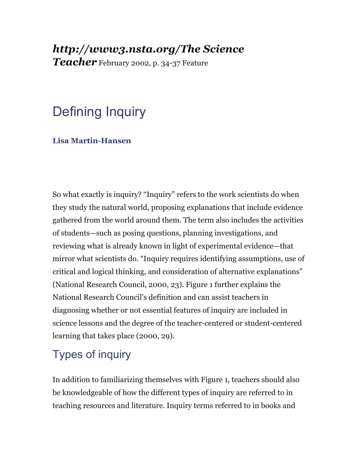### *http://www3.nsta.org/The Science Teacher* February 2002, p. 34-37 Feature

# Defining Inquiry

#### **Lisa Martin-Hansen**

So what exactly is inquiry? "Inquiry" refers to the work scientists do when they study the natural world, proposing explanations that include evidence gathered from the world around them. The term also includes the activities of students—such as posing questions, planning investigations, and reviewing what is already known in light of experimental evidence—that mirror what scientists do. "Inquiry requires identifying assumptions, use of critical and logical thinking, and consideration of alternative explanations" (National Research Council, 2000, 23). Figure 1 further explains the National Research Council's definition and can assist teachers in diagnosing whether or not essential features of inquiry are included in science lessons and the degree of the teacher-centered or student-centered learning that takes place (2000, 29).

## Types of inquiry

In addition to familiarizing themselves with Figure 1, teachers should also be knowledgeable of how the different types of inquiry are referred to in teaching resources and literature. Inquiry terms referred to in books and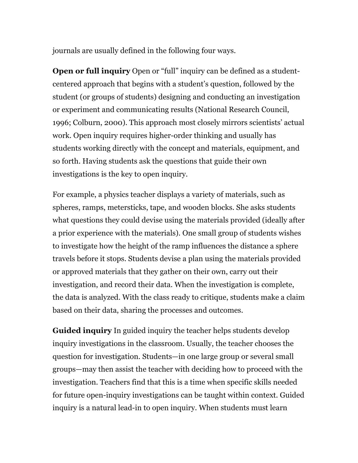journals are usually defined in the following four ways.

**Open or full inquiry** Open or "full" inquiry can be defined as a studentcentered approach that begins with a student's question, followed by the student (or groups of students) designing and conducting an investigation or experiment and communicating results (National Research Council, 1996; Colburn, 2000). This approach most closely mirrors scientists' actual work. Open inquiry requires higher-order thinking and usually has students working directly with the concept and materials, equipment, and so forth. Having students ask the questions that guide their own investigations is the key to open inquiry.

For example, a physics teacher displays a variety of materials, such as spheres, ramps, metersticks, tape, and wooden blocks. She asks students what questions they could devise using the materials provided (ideally after a prior experience with the materials). One small group of students wishes to investigate how the height of the ramp influences the distance a sphere travels before it stops. Students devise a plan using the materials provided or approved materials that they gather on their own, carry out their investigation, and record their data. When the investigation is complete, the data is analyzed. With the class ready to critique, students make a claim based on their data, sharing the processes and outcomes.

**Guided inquiry** In guided inquiry the teacher helps students develop inquiry investigations in the classroom. Usually, the teacher chooses the question for investigation. Students—in one large group or several small groups—may then assist the teacher with deciding how to proceed with the investigation. Teachers find that this is a time when specific skills needed for future open-inquiry investigations can be taught within context. Guided inquiry is a natural lead-in to open inquiry. When students must learn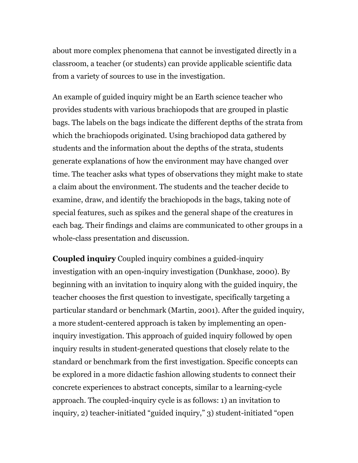about more complex phenomena that cannot be investigated directly in a classroom, a teacher (or students) can provide applicable scientific data from a variety of sources to use in the investigation.

An example of guided inquiry might be an Earth science teacher who provides students with various brachiopods that are grouped in plastic bags. The labels on the bags indicate the different depths of the strata from which the brachiopods originated. Using brachiopod data gathered by students and the information about the depths of the strata, students generate explanations of how the environment may have changed over time. The teacher asks what types of observations they might make to state a claim about the environment. The students and the teacher decide to examine, draw, and identify the brachiopods in the bags, taking note of special features, such as spikes and the general shape of the creatures in each bag. Their findings and claims are communicated to other groups in a whole-class presentation and discussion.

**Coupled inquiry** Coupled inquiry combines a guided-inquiry investigation with an open-inquiry investigation (Dunkhase, 2000). By beginning with an invitation to inquiry along with the guided inquiry, the teacher chooses the first question to investigate, specifically targeting a particular standard or benchmark (Martin, 2001). After the guided inquiry, a more student-centered approach is taken by implementing an openinquiry investigation. This approach of guided inquiry followed by open inquiry results in student-generated questions that closely relate to the standard or benchmark from the first investigation. Specific concepts can be explored in a more didactic fashion allowing students to connect their concrete experiences to abstract concepts, similar to a learning-cycle approach. The coupled-inquiry cycle is as follows: 1) an invitation to inquiry, 2) teacher-initiated "guided inquiry," 3) student-initiated "open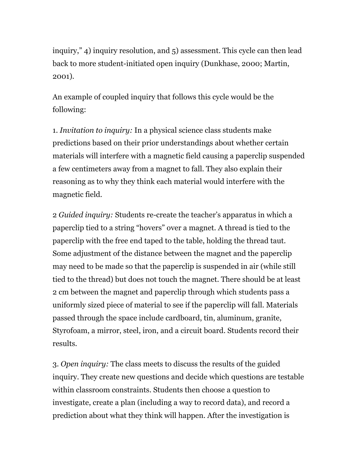inquiry," 4) inquiry resolution, and 5) assessment. This cycle can then lead back to more student-initiated open inquiry (Dunkhase, 2000; Martin, 2001).

An example of coupled inquiry that follows this cycle would be the following:

1. *Invitation to inquiry:* In a physical science class students make predictions based on their prior understandings about whether certain materials will interfere with a magnetic field causing a paperclip suspended a few centimeters away from a magnet to fall. They also explain their reasoning as to why they think each material would interfere with the magnetic field.

2 *Guided inquiry:* Students re-create the teacher's apparatus in which a paperclip tied to a string "hovers" over a magnet. A thread is tied to the paperclip with the free end taped to the table, holding the thread taut. Some adjustment of the distance between the magnet and the paperclip may need to be made so that the paperclip is suspended in air (while still tied to the thread) but does not touch the magnet. There should be at least 2 cm between the magnet and paperclip through which students pass a uniformly sized piece of material to see if the paperclip will fall. Materials passed through the space include cardboard, tin, aluminum, granite, Styrofoam, a mirror, steel, iron, and a circuit board. Students record their results.

3. *Open inquiry:* The class meets to discuss the results of the guided inquiry. They create new questions and decide which questions are testable within classroom constraints. Students then choose a question to investigate, create a plan (including a way to record data), and record a prediction about what they think will happen. After the investigation is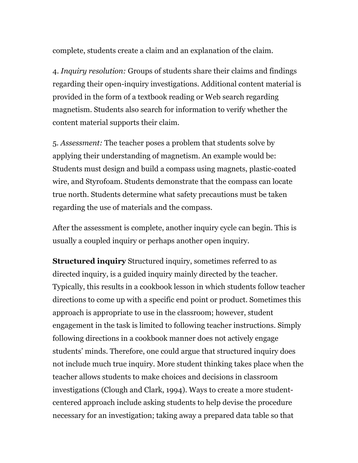complete, students create a claim and an explanation of the claim.

4. *Inquiry resolution:* Groups of students share their claims and findings regarding their open-inquiry investigations. Additional content material is provided in the form of a textbook reading or Web search regarding magnetism. Students also search for information to verify whether the content material supports their claim.

5. *Assessment:* The teacher poses a problem that students solve by applying their understanding of magnetism. An example would be: Students must design and build a compass using magnets, plastic-coated wire, and Styrofoam. Students demonstrate that the compass can locate true north. Students determine what safety precautions must be taken regarding the use of materials and the compass.

After the assessment is complete, another inquiry cycle can begin. This is usually a coupled inquiry or perhaps another open inquiry.

**Structured inquiry** Structured inquiry, sometimes referred to as directed inquiry, is a guided inquiry mainly directed by the teacher. Typically, this results in a cookbook lesson in which students follow teacher directions to come up with a specific end point or product. Sometimes this approach is appropriate to use in the classroom; however, student engagement in the task is limited to following teacher instructions. Simply following directions in a cookbook manner does not actively engage students' minds. Therefore, one could argue that structured inquiry does not include much true inquiry. More student thinking takes place when the teacher allows students to make choices and decisions in classroom investigations (Clough and Clark, 1994). Ways to create a more studentcentered approach include asking students to help devise the procedure necessary for an investigation; taking away a prepared data table so that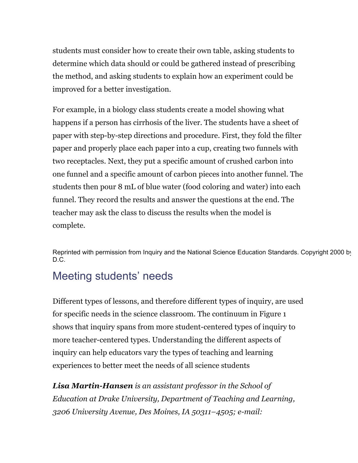students must consider how to create their own table, asking students to determine which data should or could be gathered instead of prescribing the method, and asking students to explain how an experiment could be improved for a better investigation.

For example, in a biology class students create a model showing what happens if a person has cirrhosis of the liver. The students have a sheet of paper with step-by-step directions and procedure. First, they fold the filter paper and properly place each paper into a cup, creating two funnels with two receptacles. Next, they put a specific amount of crushed carbon into one funnel and a specific amount of carbon pieces into another funnel. The students then pour 8 mL of blue water (food coloring and water) into each funnel. They record the results and answer the questions at the end. The teacher may ask the class to discuss the results when the model is complete.

Reprinted with permission from Inquiry and the National Science Education Standards. Copyright 2000 by D.C.

## Meeting students' needs

Different types of lessons, and therefore different types of inquiry, are used for specific needs in the science classroom. The continuum in Figure 1 shows that inquiry spans from more student-centered types of inquiry to more teacher-centered types. Understanding the different aspects of inquiry can help educators vary the types of teaching and learning experiences to better meet the needs of all science students

*Lisa Martin-Hansen is an assistant professor in the School of Education at Drake University, Department of Teaching and Learning, 3206 University Avenue, Des Moines, IA 50311–4505; e-mail:*